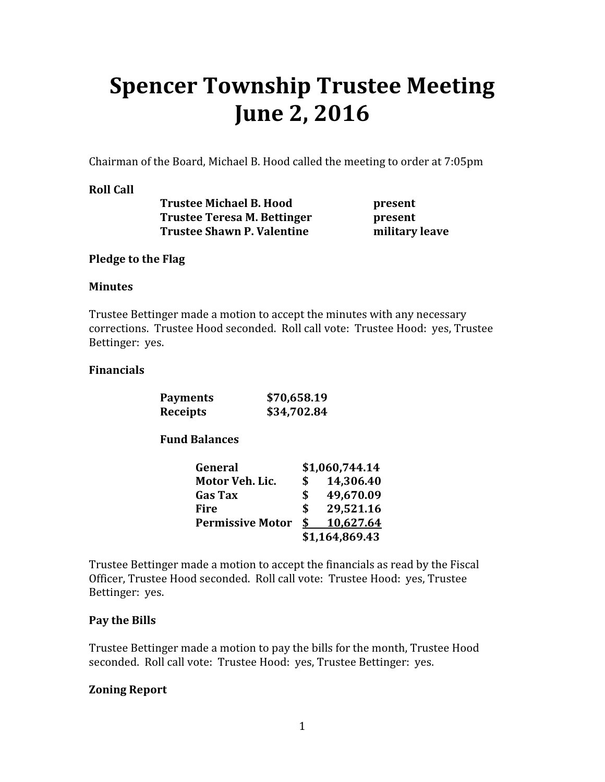# Spencer Township Trustee Meeting June 2, 2016

Chairman of the Board, Michael B. Hood called the meeting to order at 7:05pm

## Roll Call

Trustee Michael B. Hood present Trustee Teresa M. Bettinger **present** Trustee Shawn P. Valentine military leave

### Pledge to the Flag

#### Minutes

Trustee Bettinger made a motion to accept the minutes with any necessary corrections. Trustee Hood seconded. Roll call vote: Trustee Hood: yes, Trustee Bettinger: yes.

### Financials

| <b>Payments</b> | \$70,658.19 |
|-----------------|-------------|
| <b>Receipts</b> | \$34,702.84 |

### Fund Balances

| General                 |    | \$1,060,744.14 |
|-------------------------|----|----------------|
| Motor Veh. Lic.         |    | 14,306.40      |
| <b>Gas Tax</b>          |    | 49,670.09      |
| Fire                    |    | 29,521.16      |
| <b>Permissive Motor</b> | S. | 10,627.64      |
|                         |    | \$1,164,869.43 |

Trustee Bettinger made a motion to accept the financials as read by the Fiscal Officer, Trustee Hood seconded. Roll call vote: Trustee Hood: yes, Trustee Bettinger: yes.

### Pay the Bills

Trustee Bettinger made a motion to pay the bills for the month, Trustee Hood seconded. Roll call vote: Trustee Hood: yes, Trustee Bettinger: yes.

### Zoning Report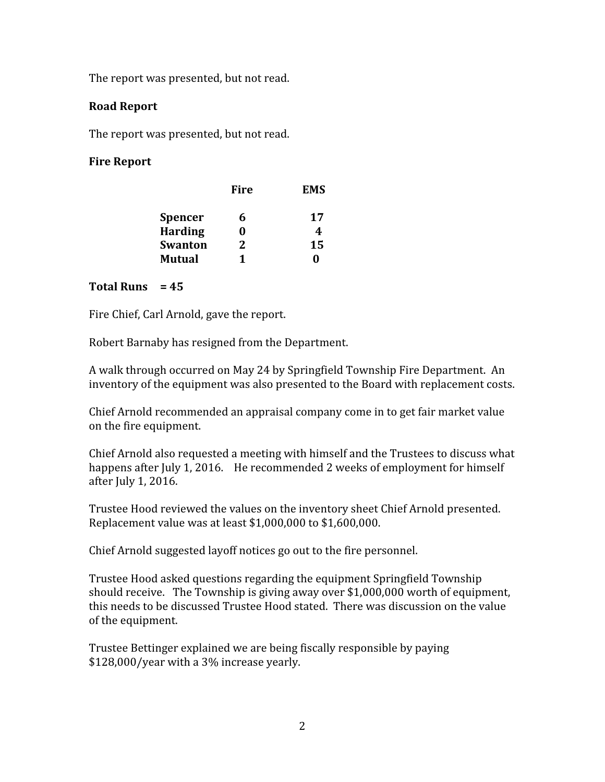The report was presented, but not read.

### Road Report

The report was presented, but not read.

# Fire Report

| <b>Fire</b> | <b>EMS</b> |
|-------------|------------|
| 6           | 17         |
|             | 4          |
| 2.          | 15         |
| 1           | 0          |
|             |            |

# Total Runs  $= 45$

Fire Chief, Carl Arnold, gave the report.

Robert Barnaby has resigned from the Department.

A walk through occurred on May 24 by Springfield Township Fire Department. An inventory of the equipment was also presented to the Board with replacement costs.

Chief Arnold recommended an appraisal company come in to get fair market value on the fire equipment.

Chief Arnold also requested a meeting with himself and the Trustees to discuss what happens after July 1, 2016. He recommended 2 weeks of employment for himself after July 1, 2016.

Trustee Hood reviewed the values on the inventory sheet Chief Arnold presented. Replacement value was at least \$1,000,000 to \$1,600,000.

Chief Arnold suggested layoff notices go out to the fire personnel.

Trustee Hood asked questions regarding the equipment Springfield Township should receive. The Township is giving away over \$1,000,000 worth of equipment, this needs to be discussed Trustee Hood stated. There was discussion on the value of the equipment.

Trustee Bettinger explained we are being fiscally responsible by paying \$128,000/year with a 3% increase yearly.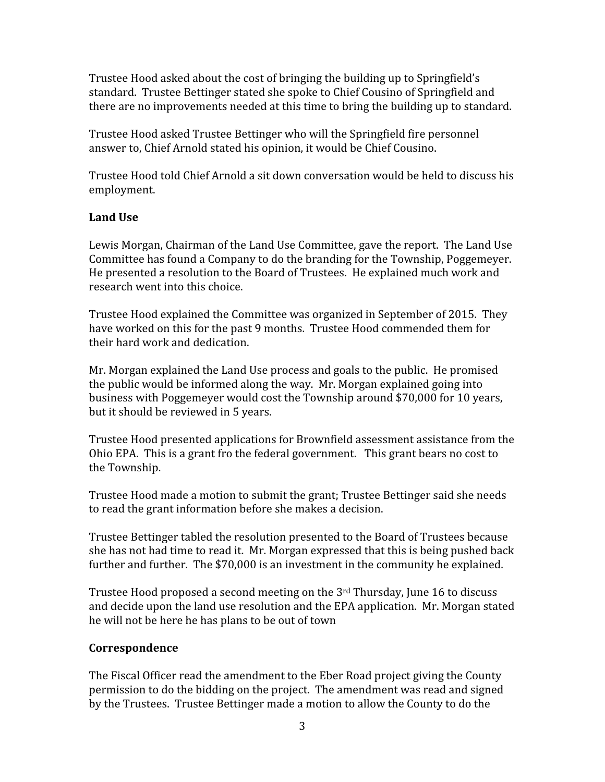Trustee Hood asked about the cost of bringing the building up to Springfield's standard. Trustee Bettinger stated she spoke to Chief Cousino of Springfield and there are no improvements needed at this time to bring the building up to standard.

Trustee Hood asked Trustee Bettinger who will the Springfield fire personnel answer to, Chief Arnold stated his opinion, it would be Chief Cousino.

Trustee Hood told Chief Arnold a sit down conversation would be held to discuss his employment.

## Land Use

Lewis Morgan, Chairman of the Land Use Committee, gave the report. The Land Use Committee has found a Company to do the branding for the Township, Poggemeyer. He presented a resolution to the Board of Trustees. He explained much work and research went into this choice.

Trustee Hood explained the Committee was organized in September of 2015. They have worked on this for the past 9 months. Trustee Hood commended them for their hard work and dedication.

Mr. Morgan explained the Land Use process and goals to the public. He promised the public would be informed along the way. Mr. Morgan explained going into business with Poggemeyer would cost the Township around \$70,000 for 10 years, but it should be reviewed in 5 years.

Trustee Hood presented applications for Brownfield assessment assistance from the Ohio EPA. This is a grant fro the federal government. This grant bears no cost to the Township.

Trustee Hood made a motion to submit the grant; Trustee Bettinger said she needs to read the grant information before she makes a decision.

Trustee Bettinger tabled the resolution presented to the Board of Trustees because she has not had time to read it. Mr. Morgan expressed that this is being pushed back further and further. The \$70,000 is an investment in the community he explained.

Trustee Hood proposed a second meeting on the 3<sup>rd</sup> Thursday, June 16 to discuss and decide upon the land use resolution and the EPA application. Mr. Morgan stated he will not be here he has plans to be out of town

### **Correspondence**

The Fiscal Officer read the amendment to the Eber Road project giving the County permission to do the bidding on the project. The amendment was read and signed by the Trustees. Trustee Bettinger made a motion to allow the County to do the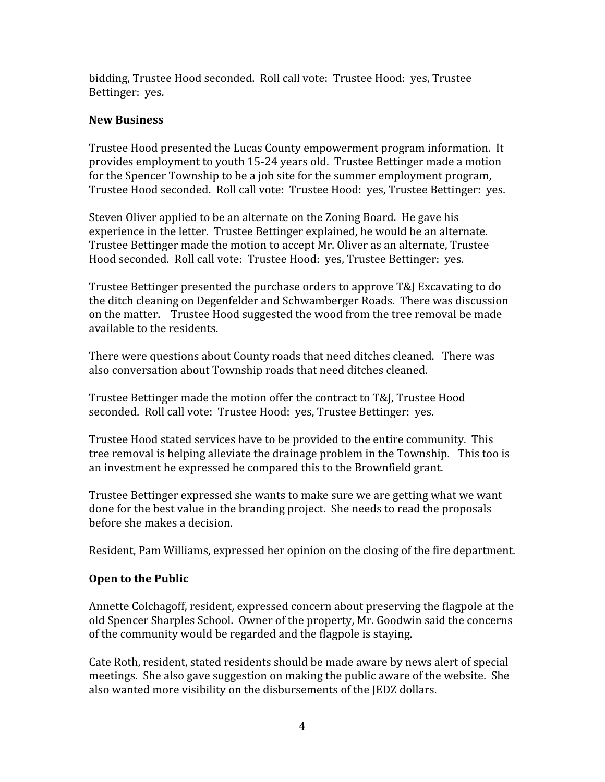bidding, Trustee Hood seconded. Roll call vote: Trustee Hood: yes, Trustee Bettinger: yes.

## New Business

Trustee Hood presented the Lucas County empowerment program information. It provides employment to youth 15-24 years old. Trustee Bettinger made a motion for the Spencer Township to be a job site for the summer employment program, Trustee Hood seconded. Roll call vote: Trustee Hood: yes, Trustee Bettinger: yes.

Steven Oliver applied to be an alternate on the Zoning Board. He gave his experience in the letter. Trustee Bettinger explained, he would be an alternate. Trustee Bettinger made the motion to accept Mr. Oliver as an alternate, Trustee Hood seconded. Roll call vote: Trustee Hood: yes, Trustee Bettinger: yes.

Trustee Bettinger presented the purchase orders to approve T&J Excavating to do the ditch cleaning on Degenfelder and Schwamberger Roads. There was discussion on the matter. Trustee Hood suggested the wood from the tree removal be made available to the residents.

There were questions about County roads that need ditches cleaned. There was also conversation about Township roads that need ditches cleaned.

Trustee Bettinger made the motion offer the contract to T&J, Trustee Hood seconded. Roll call vote: Trustee Hood: yes, Trustee Bettinger: yes.

Trustee Hood stated services have to be provided to the entire community. This tree removal is helping alleviate the drainage problem in the Township. This too is an investment he expressed he compared this to the Brownfield grant.

Trustee Bettinger expressed she wants to make sure we are getting what we want done for the best value in the branding project. She needs to read the proposals before she makes a decision.

Resident, Pam Williams, expressed her opinion on the closing of the fire department.

### Open to the Public

Annette Colchagoff, resident, expressed concern about preserving the flagpole at the old Spencer Sharples School. Owner of the property, Mr. Goodwin said the concerns of the community would be regarded and the flagpole is staying.

Cate Roth, resident, stated residents should be made aware by news alert of special meetings. She also gave suggestion on making the public aware of the website. She also wanted more visibility on the disbursements of the JEDZ dollars.